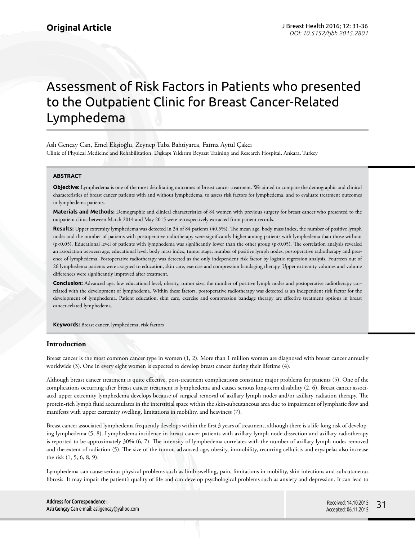# Assessment of Risk Factors in Patients who presented to the Outpatient Clinic for Breast Cancer-Related Lymphedema

Aslı Gençay Can, Emel Ekşioğlu, Zeynep Tuba Bahtiyarca, Fatma Aytül Çakcı Clinic of Physical Medicine and Rehabilitation, Dışkapı Yıldırım Beyazıt Training and Research Hospital, Ankara, Turkey

#### **ABSTRACT**

**Objective:** Lymphedema is one of the most debilitating outcomes of breast cancer treatment. We aimed to compare the demographic and clinical characteristics of breast cancer patients with and without lymphedema, to assess risk factors for lymphedema, and to evaluate treatment outcomes in lymphedema patients.

**Materials and Methods:** Demographic and clinical characteristics of 84 women with previous surgery for breast cancer who presented to the outpatient clinic between March 2014 and May 2015 were retrospectively extracted from patient records.

**Results:** Upper extremity lymphedema was detected in 34 of 84 patients (40.5%). The mean age, body mass index, the number of positive lymph nodes and the number of patients with postoperative radiotherapy were significantly higher among patients with lymphedema than those without (p<0.05). Educational level of patients with lymphedema was significantly lower than the other group (p<0.05). The correlation analysis revealed an association between age, educational level, body mass index, tumor stage, number of positive lymph nodes, postoperative radiotherapy and presence of lymphedema. Postoperative radiotherapy was detected as the only independent risk factor by logistic regression analysis. Fourteen out of 26 lymphedema patients were assigned to education, skin care, exercise and compression bandaging therapy. Upper extremity volumes and volume differences were significantly improved after treatment.

**Conclusion:** Advanced age, low educational level, obesity, tumor size, the number of positive lymph nodes and postoperative radiotherapy correlated with the development of lymphedema. Within these factors, postoperative radiotherapy was detected as an independent risk factor for the development of lymphedema. Patient education, skin care, exercise and compression bandage therapy are effective treatment options in breast cancer-related lymphedema.

**Keywords:** Breast cancer, lymphedema, risk factors

#### **Introduction**

Breast cancer is the most common cancer type in women (1, 2). More than 1 million women are diagnosed with breast cancer annually worldwide (3). One in every eight women is expected to develop breast cancer during their lifetime (4).

Although breast cancer treatment is quite effective, post-treatment complications constitute major problems for patients (5). One of the complications occurring after breast cancer treatment is lymphedema and causes serious long-term disability (2, 6). Breast cancer associated upper extremity lymphedema develops because of surgical removal of axillary lymph nodes and/or axillary radiation therapy. The protein-rich lymph fluid accumulates in the interstitial space within the skin-subcutaneous area due to impairment of lymphatic flow and manifests with upper extremity swelling, limitations in mobility, and heaviness (7).

Breast cancer associated lymphedema frequently develops within the first 3 years of treatment, although there is a life-long risk of developing lymphedema (5, 8). Lymphedema incidence in breast cancer patients with axillary lymph node dissection and axillary radiotherapy is reported to be approximately 30% (6, 7). The intensity of lymphedema correlates with the number of axillary lymph nodes removed and the extent of radiation (5). The size of the tumor, advanced age, obesity, immobility, recurring cellulitis and erysipelas also increase the risk (1, 5, 6, 8, 9).

Lymphedema can cause serious physical problems such as limb swelling, pain, limitations in mobility, skin infections and subcutaneous fibrosis. It may impair the patient's quality of life and can develop psychological problems such as anxiety and depression. It can lead to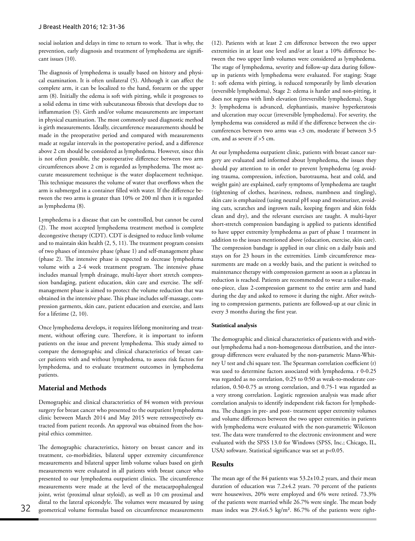social isolation and delays in time to return to work. That is why, the prevention, early diagnosis and treatment of lymphedema are significant issues (10).

The diagnosis of lymphedema is usually based on history and physical examination. It is often unilateral (5). Although it can affect the complete arm, it can be localized to the hand, forearm or the upper arm (8). Initially the edema is soft with pitting, while it progresses to a solid edema in time with subcutaneous fibrosis that develops due to inflammation (5). Girth and/or volume measurements are important in physical examination. The most commonly used diagnostic method is girth measurements. Ideally, circumference measurements should be made in the preoperative period and compared with measurements made at regular intervals in the postoperative period, and a difference above 2 cm should be considered as lymphedema. However, since this is not often possible, the postoperative difference between two arm circumferences above 2 cm is regarded as lymphedema. The most accurate measurement technique is the water displacement technique. This technique measures the volume of water that overflows when the arm is submerged in a container filled with water. If the difference between the two arms is greater than 10% or 200 ml then it is regarded as lymphedema (8).

Lymphedema is a disease that can be controlled, but cannot be cured (2). The most accepted lymphedema treatment method is complete decongestive therapy (CDT). CDT is designed to reduce limb volume and to maintain skin health (2, 5, 11). The treatment program consists of two phases of intensive phase (phase 1) and self-management phase (phase 2). The intensive phase is expected to decrease lymphedema volume with a 2-4 week treatment program. The intensive phase includes manual lymph drainage, multi-layer short stretch compression bandaging, patient education, skin care and exercise. The selfmanagement phase is aimed to protect the volume reduction that was obtained in the intensive phase. This phase includes self-massage, compression garments, skin care, patient education and exercise, and lasts for a lifetime (2, 10).

Once lymphedema develops, it requires lifelong monitoring and treatment, without offering cure. Therefore, it is important to inform patients on the issue and prevent lymphedema. This study aimed to compare the demographic and clinical characteristics of breast cancer patients with and without lymphedema, to assess risk factors for lymphedema, and to evaluate treatment outcomes in lymphedema patients.

## **Material and Methods**

Demographic and clinical characteristics of 84 women with previous surgery for breast cancer who presented to the outpatient lymphedema clinic between March 2014 and May 2015 were retrospectively extracted from patient records. An approval was obtained from the hospital ethics committee.

The demographic characteristics, history on breast cancer and its treatment, co-morbidities, bilateral upper extremity circumference measurements and bilateral upper limb volume values based on girth measurements were evaluated in all patients with breast cancer who presented to our lymphedema outpatient clinics. The circumference measurements were made at the level of the metacarpophalengeal joint, wrist (proximal ulnar styloid), as well as 10 cm proximal and distal to the lateral epicondyle. The volumes were measured by using (12). Patients with at least 2 cm difference between the two upper extremities in at least one level and/or at least a 10% difference between the two upper limb volumes were considered as lymphedema. The stage of lymphedema, severity and follow-up data during followup in patients with lymphedema were evaluated. For staging; Stage 1: soft edema with pitting, is reduced temporarily by limb elevation (reversible lymphedema), Stage 2: edema is harder and non-pitting, it does not regress with limb elevation (irreversible lymphedema), Stage 3: lymphedema is advanced, elephantiasis, massive hyperkeratosis and ulceration may occur (irreversible lymphedema). For severity, the lymphedema was considered as mild if the difference between the circumferences between two arms was <3 cm, moderate if between 3-5 cm, and as severe if >5 cm.

At our lymphedema outpatient clinic, patients with breast cancer surgery are evaluated and informed about lymphedema, the issues they should pay attention to in order to prevent lymphedema (eg avoiding trauma, compression, infection, barotrauma, heat and cold, and weight gain) are explained, early symptoms of lymphedema are taught (tightening of clothes, heaviness, redness, numbness and tingling), skin care is emphasized (using neutral pH soap and moisturizer, avoiding cuts, scratches and ingrown nails, keeping fingers and skin folds clean and dry), and the relevant exercises are taught. A multi-layer short-stretch compression bandaging is applied to patients identified to have upper extremity lymphedema as part of phase 1 treatment in addition to the issues mentioned above (education, exercise, skin care). The compression bandage is applied in our clinic on a daily basis and stays on for 23 hours in the extremities. Limb circumference measurements are made on a weekly basis, and the patient is switched to maintenance therapy with compression garment as soon as a plateau in reduction is reached. Patients are recommended to wear a tailor-made, one-piece, class 2-compression garment to the entire arm and hand during the day and asked to remove it during the night. After switching to compression garments, patients are followed-up at our clinic in every 3 months during the first year.

## **Statistical analysis**

The demographic and clinical characteristics of patients with and without lymphedema had a non-homogeneous distribution, and the intergroup differences were evaluated by the non-parametric Mann-Whitney U test and chi square test. The Spearman correlation coefficient (r) was used to determine factors associated with lymphedema. r 0-0.25 was regarded as no correlation, 0:25 to 0:50 as weak-to-moderate correlation, 0.50-0.75 as strong correlation, and 0.75-1 was regarded as a very strong correlation. Logistic regression analysis was made after correlation analysis to identify independent risk factors for lymphedema. The changes in pre- and post- treatment upper extremity volumes and volume differences between the two upper extremities in patients with lymphedema were evaluated with the non-parametric Wilcoxon test. The data were transferred to the electronic environment and were evaluated with the SPSS 13.0 for Windows (SPSS, Inc.; Chicago, IL, USA) software. Statistical significance was set at p<0.05.

### **Results**

32 geometrical volume formulas based on circumference measurements mass index was 29.4±6.5 kg/m². 86.7% of the patients were right-The mean age of the 84 patients was 53.2±10.2 years, and their mean duration of education was 7.2±4.2 years. 70 percent of the patients were housewives, 20% were employed and 6% were retired. 73.3% of the patients were married while 26.7% were single. The mean body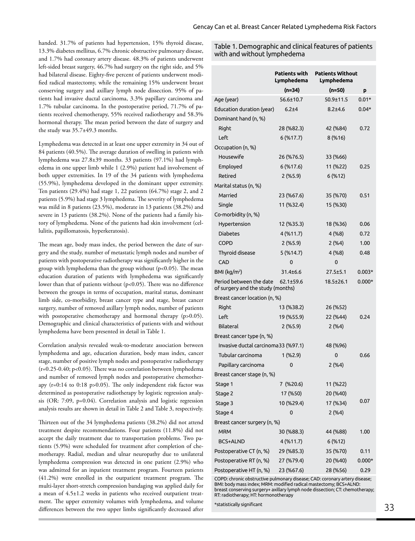handed. 31.7% of patients had hypertension, 15% thyroid disease, 13.3% diabetes mellitus, 6.7% chronic obstructive pulmonary disease, and 1.7% had coronary artery disease. 48.3% of patients underwent left-sided breast surgery, 46.7% had surgery on the right side, and 5% had bilateral disease. Eighty-five percent of patients underwent modified radical mastectomy, while the remaining 15% underwent breast conserving surgery and axillary lymph node dissection. 95% of patients had invasive ductal carcinoma, 3.3% papillary carcinoma and 1.7% tubular carcinoma. In the postoperative period, 71.7% of patients received chemotherapy, 55% received radiotherapy and 58.3% hormonal therapy. The mean period between the date of surgery and the study was 35.7±49.3 months.

Lymphedema was detected in at least one upper extremity in 34 out of 84 patients (40.5%). The average duration of swelling in patients with lymphedema was 27.8±39 months. 33 patients (97.1%) had lymphedema in one upper limb while 1 (2.9%) patient had involvement of both upper extremities. In 19 of the 34 patients with lymphedema (55.9%), lymphedema developed in the dominant upper extremity. Ten patients (29.4%) had stage 1, 22 patients (64.7%) stage 2, and 2 patients (5.9%) had stage 3 lymphedema. The severity of lymphedema was mild in 8 patients (23.5%), moderate in 13 patients (38.2%) and severe in 13 patients (38.2%). None of the patients had a family history of lymphedema. None of the patients had skin involvement (cellulitis, papillomatosis, hyperkeratosis).

The mean age, body mass index, the period between the date of surgery and the study, number of metastatic lymph nodes and number of patients with postoperative radiotherapy was significantly higher in the group with lymphedema than the group without  $(p<0.05)$ . The mean education duration of patients with lymphedema was significantly lower than that of patients without (p<0.05). There was no difference between the groups in terms of occupation, marital status, dominant limb side, co-morbidity, breast cancer type and stage, breast cancer surgery, number of removed axillary lymph nodes, number of patients with postoperative chemotherapy and hormonal therapy (p>0.05). Demographic and clinical characteristics of patients with and without lymphedema have been presented in detail in Table 1.

Correlation analysis revealed weak-to-moderate association between lymphedema and age, education duration, body mass index, cancer stage, number of positive lymph nodes and postoperative radiotherapy (r=0.25-0.40; p<0.05). There was no correlation between lymphedema and number of removed lymph nodes and postoperative chemotherapy (r=0:14 to 0:18 p>0.05). The only independent risk factor was determined as postoperative radiotherapy by logistic regression analysis (OR: 7:09, p=0.04). Correlation analysis and logistic regression analysis results are shown in detail in Table 2 and Table 3, respectively.

Thirteen out of the 34 lymphedema patients (38.2%) did not attend treatment despite recommendations. Four patients (11.8%) did not accept the daily treatment due to transportation problems. Two patients (5.9%) were scheduled for treatment after completion of chemotherapy. Radial, median and ulnar neuropathy due to unilateral lymphedema compression was detected in one patient (2.9%) who was admitted for an inpatient treatment program. Fourteen patients (41.2%) were enrolled in the outpatient treatment program. The multi-layer short-stretch compression bandaging was applied daily for a mean of 4.5±1.2 weeks in patients who received outpatient treatment. The upper extremity volumes with lymphedema, and volume differences between the two upper limbs significantly decreased after **33** attached a structure of the structure  $33$ 

## Table 1. Demographic and clinical features of patients with and without lymphedema

|                                                              | <b>Patients with</b><br>Lymphedema | <b>Patients Without</b><br>Lymphedema |          |  |
|--------------------------------------------------------------|------------------------------------|---------------------------------------|----------|--|
|                                                              | (n=34)                             | (n=50)                                | p        |  |
| Age (year)                                                   | $56.6 \pm 10.7$                    | $50.9 + 11.5$                         | $0.01*$  |  |
| Education duration (year)                                    | $6.2 + 4$                          | $8.2 + 4.6$                           | $0.04*$  |  |
| Dominant hand (n, %)                                         |                                    |                                       |          |  |
| Right                                                        | 28 (%82.3)                         | 42 (%84)                              | 0.72     |  |
| Left                                                         | 6(%17.7)                           | 8(%16)                                |          |  |
| Occupation (n, %)                                            |                                    |                                       |          |  |
| Housewife                                                    | 26 (%76.5)                         | 33 (%66)                              |          |  |
| Employed                                                     | 6(%17.6)                           | 11 (%22)                              | 0.25     |  |
| Retired                                                      | 2(%5.9)                            | 6(%12)                                |          |  |
| Marital status (n, %)                                        |                                    |                                       |          |  |
| Married                                                      | 23 (%67.6)                         | 35 (%70)                              | 0.51     |  |
| Single                                                       | 11 (%32.4)                         | 15 (%30)                              |          |  |
| Co-morbidity (n, %)                                          |                                    |                                       |          |  |
| Hypertension                                                 | 12 (%35.3)                         | 18 (%36)                              | 0.06     |  |
| <b>Diabetes</b>                                              | 4 (%11.7)                          | 4(%8)                                 | 0.72     |  |
| <b>COPD</b>                                                  | 2 (%5.9)                           | 2(%4)                                 | 1.00     |  |
| Thyroid disease                                              | 5(%14.7)                           | 4(%8)                                 | 0.48     |  |
| <b>CAD</b>                                                   | 0                                  | 0                                     |          |  |
| $BMl$ (kg/m <sup>2</sup> )                                   | $31.4 \pm 6.6$                     | $27.5 \pm 5.1$                        | $0.003*$ |  |
| Period between the date<br>of surgery and the study (months) | $62.1 \pm 59.6$                    | $18.5 \pm 26.1$                       | $0.000*$ |  |
| Breast cancer location (n, %)                                |                                    |                                       |          |  |
| Right                                                        | 13 (%38.2)                         | 26 (%52)                              |          |  |
| Left                                                         | 19 (%55.9)                         | 22 (%44)                              | 0.24     |  |
| <b>Bilateral</b>                                             | 2(%5.9)                            | 2(%4)                                 |          |  |
| Breast cancer type (n, %)                                    |                                    |                                       |          |  |
| Invasive ductal carcinoma33 (%97.1)<br>48 (%96)              |                                    |                                       |          |  |
| Tubular carcinoma                                            | 1 (%2.9)                           | 0                                     | 0.66     |  |
| Papillary carcinoma                                          | 0                                  | 2(%4)                                 |          |  |
| Breast cancer stage (n, %)                                   |                                    |                                       |          |  |
| Stage 1                                                      | 7 (%20.6)                          | 11 (%22)                              |          |  |
| Stage 2                                                      | 17 (%50)                           | 20 (%40)                              |          |  |
| Stage 3                                                      | 10 (%29.4)                         | 17 (%34)                              | 0.07     |  |
| Stage 4                                                      | 0                                  | 2(%4)                                 |          |  |
| Breast cancer surgery (n, %)                                 |                                    |                                       |          |  |
| <b>MRM</b>                                                   | 30 (%88.3)                         | 44 (%88)                              | 1.00     |  |
| <b>BCS+ALND</b>                                              | 4 (%11.7)                          | 6(%12)                                |          |  |
| Postoperative CT (n, %)                                      | 29 (%85.3)                         | 35 (%70)                              | 0.11     |  |
| Postoperative RT (n, %)                                      | 27 (%79.4)                         | 20 (%40)                              | $0.000*$ |  |
| Postoperative HT (n, %)                                      | 23 (%67.6)                         | 28 (%56)                              | 0.29     |  |

COPD: chronic obstructive pulmonary disease; CAD: coronary artery disease; BMI: body mass index; MRM: modified radical mastectomy; BCS+ALND: breast conserving surgery+ axillary lymph node dissection; CT: chemotherapy; RT: radiotherapy; HT: hormonotherapy

\*statistically significant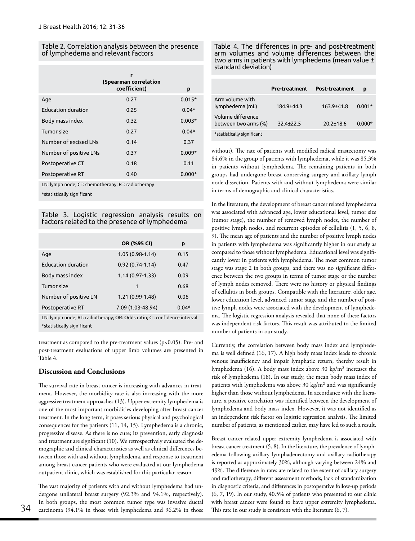#### Table 2. Correlation analysis between the presence of lymphedema and relevant factors

|                           | г<br>(Spearman correlation<br>coefficient) | p        |
|---------------------------|--------------------------------------------|----------|
| Age                       | 0.27                                       | $0.015*$ |
| <b>Education duration</b> | 0.25                                       | $0.04*$  |
| Body mass index           | 0.32                                       | $0.003*$ |
| Tumor size                | 0.27                                       | $0.04*$  |
| Number of excised LNs     | 0.14                                       | 0.37     |
| Number of positive LNs    | 0.37                                       | $0.009*$ |
| Postoperative CT          | 0.18                                       | 0.11     |
| Postoperative RT          | 0.40                                       | $0.000*$ |

LN: lymph node; CT: chemotherapy; RT: radiotherapy

\*statistically significant

Table 3. Logistic regression analysis results on factors related to the presence of lymphedema

| OR (%95 CI)       | p       |
|-------------------|---------|
| $1.05(0.98-1.14)$ | 0.15    |
| $0.92(0.74-1.14)$ | 0.47    |
| $1.14(0.97-1.33)$ | 0.09    |
| 1                 | 0.68    |
| 1.21 (0.99-1.48)  | 0.06    |
| 7.09 (1.03-48.94) | $0.04*$ |
|                   |         |

LN: lymph node; RT: radiotherapy; OR: Odds ratio; CI: confidence interval \*statistically significant

treatment as compared to the pre-treatment values (p<0.05). Pre- and post-treatment evaluations of upper limb volumes are presented in Table 4.

## **Discussion and Conclusions**

The survival rate in breast cancer is increasing with advances in treatment. However, the morbidity rate is also increasing with the more aggressive treatment approaches (13). Upper extremity lymphedema is one of the most important morbidities developing after breast cancer treatment. In the long term, it poses serious physical and psychological consequences for the patients (11, 14, 15). Lymphedema is a chronic, progressive disease. As there is no cure; its prevention, early diagnosis and treatment are significant (10). We retrospectively evaluated the demographic and clinical characteristics as well as clinical differences between those with and without lymphedema, and response to treatment among breast cancer patients who were evaluated at our lymphedema outpatient clinic, which was established for this particular reason.

The vast majority of patients with and without lymphedema had undergone unilateral breast surgery (92.3% and 94.1%, respectively). In both groups, the most common tumor type was invasive ductal 34 carcinoma (94.1% in those with lymphedema and 96.2% in those This rate in our study is consistent with the literature (6, 7).

Table 4. The differences in pre- and post-treatment arm volumes and volume differences between the two arms in patients with lymphedema (mean value ± standard deviation)

|                                           | <b>Pre-treatment</b> | <b>Post-treatment</b> | D        |
|-------------------------------------------|----------------------|-----------------------|----------|
| Arm volume with<br>lymphedema (mL)        | 184.9+44.3           | 163.9+41.8            | $0.001*$ |
| Volume difference<br>between two arms (%) | $32.4 + 22.5$        | 20 2+18 6             | n nnn*   |
| *statistically significant                |                      |                       |          |

without). The rate of patients with modified radical mastectomy was 84.6% in the group of patients with lymphedema, while it was 85.3% in patients without lymphedema. The remaining patients in both groups had undergone breast conserving surgery and axillary lymph node dissection. Patients with and without lymphedema were similar in terms of demographic and clinical characteristics.

In the literature, the development of breast cancer related lymphedema was associated with advanced age, lower educational level, tumor size (tumor stage), the number of removed lymph nodes, the number of positive lymph nodes, and recurrent episodes of cellulitis (1, 5, 6, 8, 9). The mean age of patients and the number of positive lymph nodes in patients with lymphedema was significantly higher in our study as compared to those without lymphedema. Educational level was significantly lower in patients with lymphedema. The most common tumor stage was stage 2 in both groups, and there was no significant difference between the two groups in terms of tumor stage or the number of lymph nodes removed. There were no history or physical findings of cellulitis in both groups. Compatible with the literature; older age, lower education level, advanced tumor stage and the number of positive lymph nodes were associated with the development of lymphedema. The logistic regression analysis revealed that none of these factors was independent risk factors. This result was attributed to the limited number of patients in our study.

Currently, the correlation between body mass index and lymphedema is well defined (16, 17). A high body mass index leads to chronic venous insufficiency and impair lymphatic return, thereby result in lymphedema (16). A body mass index above 30 kg/m² increases the risk of lymphedema (18). In our study, the mean body mass index of patients with lymphedema was above 30 kg/m² and was significantly higher than those without lymphedema. In accordance with the literature, a positive correlation was identified between the development of lymphedema and body mass index. However, it was not identified as an independent risk factor on logistic regression analysis. The limited number of patients, as mentioned earlier, may have led to such a result.

Breast cancer related upper extremity lymphedema is associated with breast cancer treatment (5, 8). In the literature, the prevalence of lymphedema following axillary lymphadenectomy and axillary radiotherapy is reported as approximately 30%, although varying between 24% and 49%. The difference in rates are related to the extent of axillary surgery and radiotherapy, different assessment methods, lack of standardization in diagnostic criteria, and differences in postoperative follow-up periods (6, 7, 19). In our study, 40.5% of patients who presented to our clinic with breast cancer were found to have upper extremity lymphedema.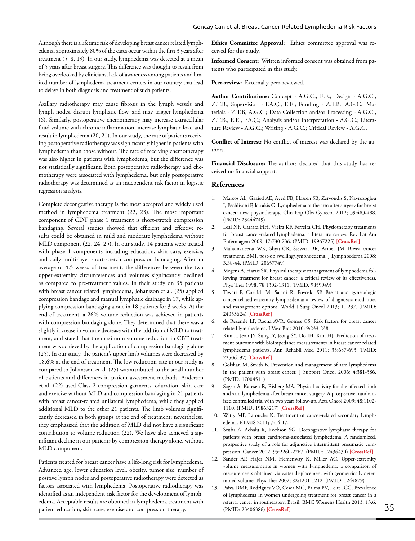Although there is a lifetime risk of developing breast cancer related lymphedema, approximately 80% of the cases occur within the first 3 years after treatment (5, 8, 19). In our study, lymphedema was detected at a mean of 5 years after breast surgery. This difference was thought to result from being overlooked by clinicians, lack of awareness among patients and limited number of lymphedema treatment centers in our country that lead to delays in both diagnosis and treatment of such patients.

Axillary radiotherapy may cause fibrosis in the lymph vessels and lymph nodes, disrupt lymphatic flow, and may trigger lymphedema (6). Similarly, postoperative chemotherapy may increase extracellular fluid volume with chronic inflammation, increase lymphatic load and result in lymphedema (20, 21). In our study, the rate of patients receiving postoperative radiotherapy was significantly higher in patients with lymphedema than those without. The rate of receiving chemotherapy was also higher in patients with lymphedema, but the difference was not statistically significant. Both postoperative radiotherapy and chemotherapy were associated with lymphedema, but only postoperative radiotherapy was determined as an independent risk factor in logistic regression analysis.

Complete decongestive therapy is the most accepted and widely used method in lymphedema treatment (22, 23). The most important component of CDT phase 1 treatment is short-stretch compression bandaging. Several studies showed that efficient and effective results could be obtained in mild and moderate lymphedema without MLD component (22, 24, 25). In our study, 14 patients were treated with phase 1 components including education, skin care, exercise, and daily multi-layer short-stretch compression bandaging. After an average of 4.5 weeks of treatment, the differences between the two upper-extremity circumferences and volumes significantly declined as compared to pre-treatment values. In their study on 35 patients with breast cancer related lymphedema, Johansson et al. (25) applied compression bandage and manual lymphatic drainage in 17, while applying compression bandaging alone in 18 patients for 3 weeks. At the end of treatment, a 26% volume reduction was achieved in patients with compression bandaging alone. They determined that there was a slightly increase in volume decrease with the addition of MLD to treatment, and stated that the maximum volume reduction in CBT treatment was achieved by the application of compression bandaging alone (25). In our study, the patient's upper limb volumes were decreased by 18.6% at the end of treatment. The low reduction rate in our study as compared to Johansson et al. (25) was attributed to the small number of patients and differences in patient assessment methods. Andersen et al. (22) used Class 2 compression garments, education, skin care and exercise without MLD and compression bandaging in 21 patients with breast cancer-related unilateral lymphedema, while they applied additional MLD to the other 21 patients. The limb volumes significantly decreased in both groups at the end of treatment; nevertheless, they emphasized that the addition of MLD did not have a significant contribution to volume reduction (22). We have also achieved a significant decline in our patients by compression therapy alone, without MLD component.

Patients treated for breast cancer have a life-long risk for lymphedema. Advanced age, lower education level, obesity, tumor size, number of positive lymph nodes and postoperative radiotherapy were detected as factors associated with lymphedema. Postoperative radiotherapy was identified as an independent risk factor for the development of lymphedema. Acceptable results are obtained in lymphedema treatment with patient education, skin care, exercise and compression therapy.

**Ethics Committee Approval:** Ethics committee approval was received for this study.

**Informed Consent:** Written informed consent was obtained from patients who participated in this study.

Peer-review: Externally peer-reviewed.

**Author Contributions:** Concept - A.G.C., E.E.; Design - A.G.C., Z.T.B.; Supervision - F.A.Ç., E.E.; Funding - Z.T.B., A.G.C.; Materials - Z.T.B, A.G.C.; Data Collection and/or Processing - A.G.C., Z.T.B., E.E., F.A.Ç.; Analysis and/or Interpretation - A.G.C.; Literature Review - A.G.C.; Writing - A.G.C.; Critical Review - A.G.C.

**Conflict of Interest:** No conflict of interest was declared by the authors.

**Financial Disclosure:** The authors declared that this study has received no financial support.

#### **References**

- 1. Marcos AL, Gaaied AE, Ayed FB, Hassen SB, Zervoudis S, Navrozoglou I, Pechlivani F, Iatrakis G. Lymphedema of the arm after surgery for breast cancer: new physiotherapy. Clin Exp Obs Gynecol 2012; 39:483-488. (PMID: 23444749)
- 2. Leal NF, Carrara HH, Vieira KF, Ferreira CH. Physiotherapy treatments for breast cancer-related lymphedema: a literature review. Rev Lat Am Enfermagem 2009; 17:730-736. (PMID: 19967225) **[\[CrossRef](http://dx.doi.org/10.1590/S0104-11692009000500021)]**
- 3. Mahamaneerat WK, Shyu CR, Stewart BR, Armer JM. Breast cancer treatment, BMI, post-op swelling/lymphoedema. J Lymphoedema 2008; 3:38-44. (PMID: 20657749)
- 4. Megens A, Harris SR. Physical therapist management of lymphedema following treatment for breast cancer: a critical review of its effectiveness. Phys Ther 1998; 78:1302-1311. (PMID: 9859949)
- 5. Tiwari P, Coriddi M, Salani R, Povoski SP. Breast and gynecologic cancer-related extremity lymphedema: a review of diagnostic modalities and management options. World J Surg Oncol 2013; 11:237. (PMID: 24053624) **[\[CrossRef](http://dx.doi.org/10.1186/1477-7819-11-237)]**
- 6. de Rezende LF, Rocha AVR, Gomes CS. Risk factors for breast cancer related lymphedema. J Vasc Bras 2010; 9:233-238.
- 7. Kim L. Jeon JY, Sung IY, Jeong SY, Do JH, Kim HJ. Prediction of treatment outcome with bioimpedance measurements in breast cancer related lymphedema patients. Ann Rehabil Med 2011; 35:687-693 (PMID: 22506192) **[\[CrossRef](http://dx.doi.org/10.5535/arm.2011.35.5.687)]**
- 8. Golshan M, Smith B. Prevention and management of arm lymphedema in the patient with breast cancer. J Support Oncol 2006; 4:381-386. (PMID: 17004511)
- 9. Sagen A, Karesen R, Risberg MA. Physical activity for the affected limb and arm lymphedema after breast cancer surgery. A prospective, randomized controlled trial with two years follow-up. Acta Oncol 2009; 48:1102- 1110. (PMID: 19863217) **[\[CrossRef](http://dx.doi.org/10.3109/02841860903061683)]**
- 10. Witty MF, Larouche K. Treatment of cancer-related secondary lymphedema. ETMIS 2011; 7:14-17.
- 11. Szuba A, Achalu R, Rockson SG. Decongestive lymphatic therapy for patients with breast carcinoma-associated lymphedema. A randomized, prospective study of a role for adjunctive intermittent pneumatic compression. Cancer 2002; 95:2260-2267. (PMID: 12436430) **[[CrossRef](http://dx.doi.org/10.1002/cncr.10976)]**
- 12. Sander AP, Hajer NM, Hemenway K, Miller AC. Upper-extremity volume measurements in women with lymphedema: a comparison of measurements obtained via water displacement with geometrically determined volume. Phys Ther 2002; 82:1201-1212. (PMID: 1244879)
- 13. Paiva DMF, Rodrigues VO, Cesca MG, Palma PV, Leite ICG. Prevalence of lymphedema in women undergoing treatment for breast cancer in a referral center in southeastern Brazil. BMC Womens Health 2013; 13:6. (PMID: 23406386) **[\[CrossRef](http://dx.doi.org/10.1186/1472-6874-13-6)]** 35